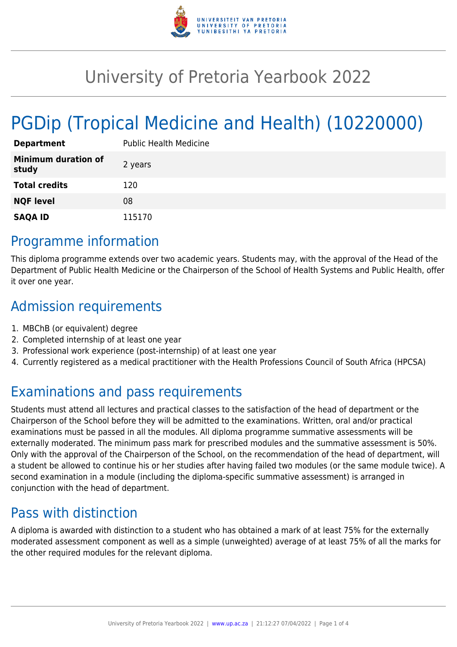

# University of Pretoria Yearbook 2022

# PGDip (Tropical Medicine and Health) (10220000)

| <b>Department</b>                   | <b>Public Health Medicine</b> |
|-------------------------------------|-------------------------------|
| <b>Minimum duration of</b><br>study | 2 years                       |
| <b>Total credits</b>                | 120                           |
| <b>NQF level</b>                    | 08                            |
| <b>SAQA ID</b>                      | 115170                        |

### Programme information

This diploma programme extends over two academic years. Students may, with the approval of the Head of the Department of Public Health Medicine or the Chairperson of the School of Health Systems and Public Health, offer it over one year.

### Admission requirements

- 1. MBChB (or equivalent) degree
- 2. Completed internship of at least one year
- 3. Professional work experience (post-internship) of at least one year
- 4. Currently registered as a medical practitioner with the Health Professions Council of South Africa (HPCSA)

## Examinations and pass requirements

Students must attend all lectures and practical classes to the satisfaction of the head of department or the Chairperson of the School before they will be admitted to the examinations. Written, oral and/or practical examinations must be passed in all the modules. All diploma programme summative assessments will be externally moderated. The minimum pass mark for prescribed modules and the summative assessment is 50%. Only with the approval of the Chairperson of the School, on the recommendation of the head of department, will a student be allowed to continue his or her studies after having failed two modules (or the same module twice). A second examination in a module (including the diploma-specific summative assessment) is arranged in conjunction with the head of department.

### Pass with distinction

A diploma is awarded with distinction to a student who has obtained a mark of at least 75% for the externally moderated assessment component as well as a simple (unweighted) average of at least 75% of all the marks for the other required modules for the relevant diploma.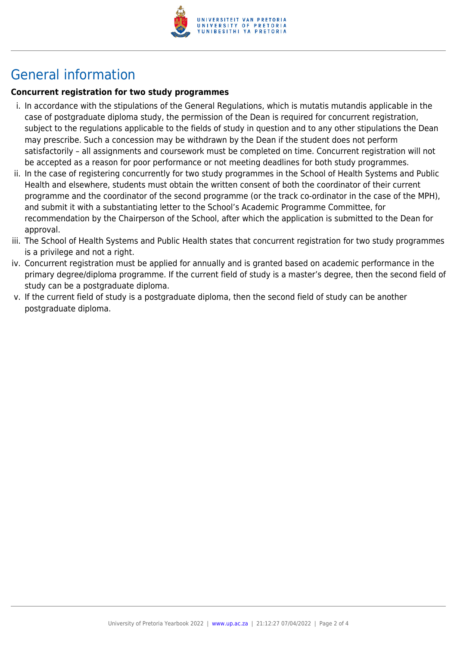

## General information

#### **Concurrent registration for two study programmes**

- i. In accordance with the stipulations of the General Regulations, which is mutatis mutandis applicable in the case of postgraduate diploma study, the permission of the Dean is required for concurrent registration, subject to the regulations applicable to the fields of study in question and to any other stipulations the Dean may prescribe. Such a concession may be withdrawn by the Dean if the student does not perform satisfactorily – all assignments and coursework must be completed on time. Concurrent registration will not be accepted as a reason for poor performance or not meeting deadlines for both study programmes.
- ii. In the case of registering concurrently for two study programmes in the School of Health Systems and Public Health and elsewhere, students must obtain the written consent of both the coordinator of their current programme and the coordinator of the second programme (or the track co-ordinator in the case of the MPH), and submit it with a substantiating letter to the School's Academic Programme Committee, for recommendation by the Chairperson of the School, after which the application is submitted to the Dean for approval.
- iii. The School of Health Systems and Public Health states that concurrent registration for two study programmes is a privilege and not a right.
- iv. Concurrent registration must be applied for annually and is granted based on academic performance in the primary degree/diploma programme. If the current field of study is a master's degree, then the second field of study can be a postgraduate diploma.
- v. If the current field of study is a postgraduate diploma, then the second field of study can be another postgraduate diploma.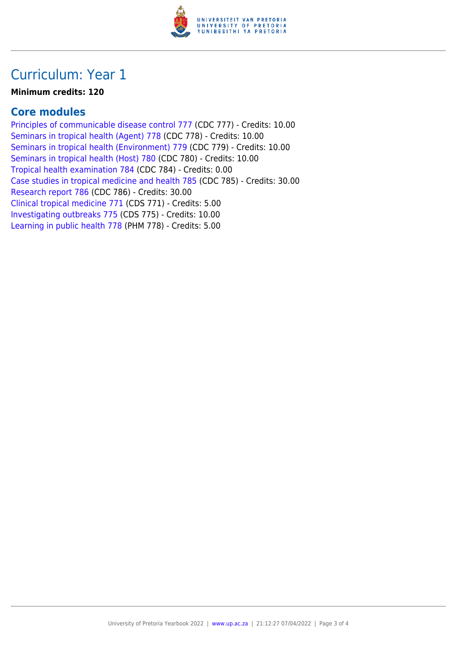

### Curriculum: Year 1

#### **Minimum credits: 120**

### **Core modules**

[Principles of communicable disease control 777](https://www.up.ac.za/faculty-of-education/yearbooks/2022/modules/view/CDC 777) (CDC 777) - Credits: 10.00 [Seminars in tropical health \(Agent\) 778](https://www.up.ac.za/faculty-of-education/yearbooks/2022/modules/view/CDC 778) (CDC 778) - Credits: 10.00 [Seminars in tropical health \(Environment\) 779](https://www.up.ac.za/faculty-of-education/yearbooks/2022/modules/view/CDC 779) (CDC 779) - Credits: 10.00 [Seminars in tropical health \(Host\) 780](https://www.up.ac.za/faculty-of-education/yearbooks/2022/modules/view/CDC 780) (CDC 780) - Credits: 10.00 [Tropical health examination 784](https://www.up.ac.za/faculty-of-education/yearbooks/2022/modules/view/CDC 784) (CDC 784) - Credits: 0.00 [Case studies in tropical medicine and health 785](https://www.up.ac.za/faculty-of-education/yearbooks/2022/modules/view/CDC 785) (CDC 785) - Credits: 30.00 [Research report 786](https://www.up.ac.za/faculty-of-education/yearbooks/2022/modules/view/CDC 786) (CDC 786) - Credits: 30.00 [Clinical tropical medicine 771](https://www.up.ac.za/faculty-of-education/yearbooks/2022/modules/view/CDS 771) (CDS 771) - Credits: 5.00 [Investigating outbreaks 775](https://www.up.ac.za/faculty-of-education/yearbooks/2022/modules/view/CDS 775) (CDS 775) - Credits: 10.00 [Learning in public health 778](https://www.up.ac.za/faculty-of-education/yearbooks/2022/modules/view/PHM 778) (PHM 778) - Credits: 5.00